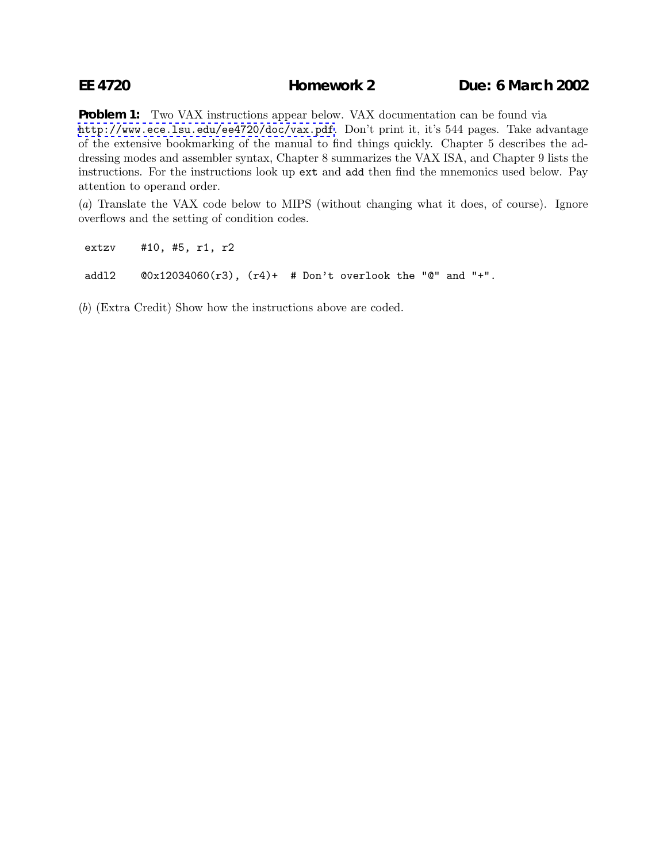## **EE 4720 Homework 2 Due: 6 March 2002**

**Problem 1:** Two VAX instructions appear below. VAX documentation can be found via <http://www.ece.lsu.edu/ee4720/doc/vax.pdf>. Don't print it, it's 544 pages. Take advantage of the extensive bookmarking of the manual to find things quickly. Chapter 5 describes the addressing modes and assembler syntax, Chapter 8 summarizes the VAX ISA, and Chapter 9 lists the instructions. For the instructions look up ext and add then find the mnemonics used below. Pay attention to operand order.

(*a*) Translate the VAX code below to MIPS (without changing what it does, of course). Ignore overflows and the setting of condition codes.

extzv #10, #5, r1, r2

addl2  $@0x12034060(r3)$ ,  $(r4)+$  # Don't overlook the "@" and "+".

(*b*) (Extra Credit) Show how the instructions above are coded.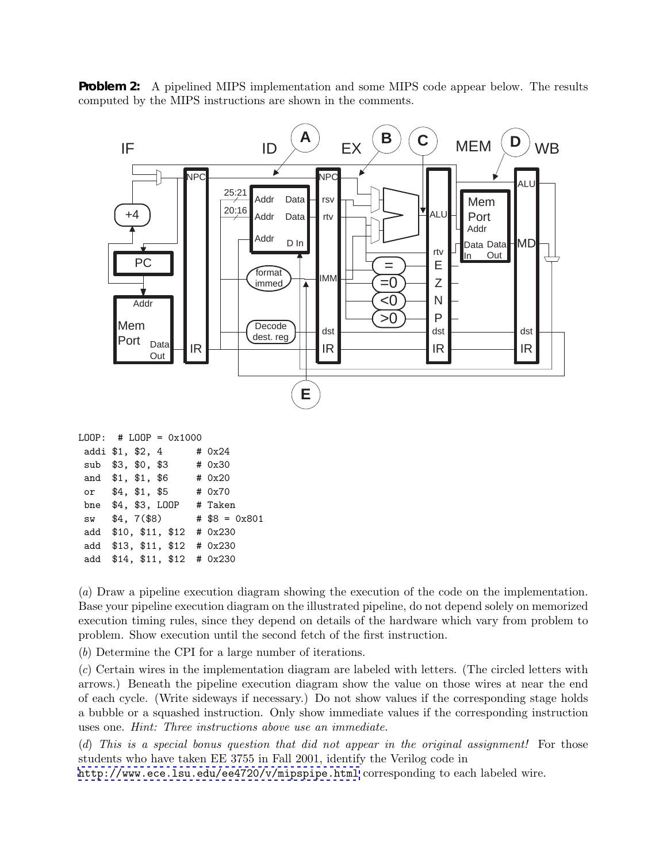**Problem 2:** A pipelined MIPS implementation and some MIPS code appear below. The results computed by the MIPS instructions are shown in the comments.



add \$13, \$11, \$12 # 0x230

add \$14, \$11, \$12 # 0x230

(*a*) Draw a pipeline execution diagram showing the execution of the code on the implementation. Base your pipeline execution diagram on the illustrated pipeline, do not depend solely on memorized execution timing rules, since they depend on details of the hardware which vary from problem to problem. Show execution until the second fetch of the first instruction.

(*b*) Determine the CPI for a large number of iterations.

(*c*) Certain wires in the implementation diagram are labeled with letters. (The circled letters with arrows.) Beneath the pipeline execution diagram show the value on those wires at near the end of each cycle. (Write sideways if necessary.) Do not show values if the corresponding stage holds a bubble or a squashed instruction. Only show immediate values if the corresponding instruction uses one. *Hint: Three instructions above use an immediate.*

(*d*) *This is a special bonus question that did not appear in the original assignment!* For those students who have taken EE 3755 in Fall 2001, identify the Verilog code in <http://www.ece.lsu.edu/ee4720/v/mipspipe.html> corresponding to each labeled wire.